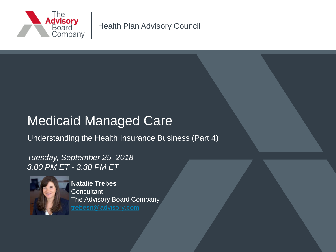

Health Plan Advisory Council

# Medicaid Managed Care

Understanding the Health Insurance Business (Part 4)

*Tuesday, September 25, 2018 3:00 PM ET - 3:30 PM ET*



**Natalie Trebes Consultant** The Advisory Board Company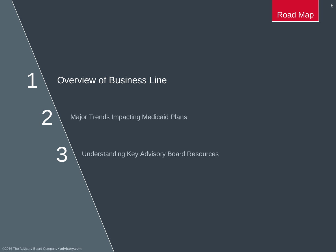Road Map

6

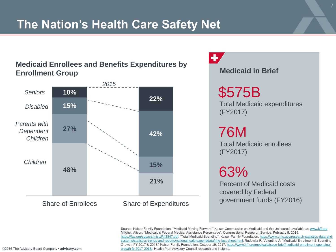# **The Nation's Health Care Safety Net**

#### **Medicaid Enrollees and Benefits Expenditures by Enrollment Group Medicaid in Brief**



45 \$575B Total Medicaid expenditures (FY2017) 76M Total Medicaid enrollees (FY2017) 63%Percent of Medicaid costs covered by Federal government funds (FY2016)

Source: Kaiser Family Foundation, "Medicaid Moving Forward;" Kaiser Commission on Medicaid and the Uninsured, available at: [www.kff.org](http://www.kff.org/); Mitchel, Alison, "Medicaid's Federal Medical Assistance Percentage", Congressional Research Service, February 9, 2016, <https://fas.org/sgp/crs/misc/R43847.pdf>[; "Total Medicaid Spending", Kaiser Family Foundation, https://www.cms.gov/research-statistics-data-and](https://www.cms.gov/research-statistics-data-and-systems/statistics-trends-and-reports/nationalhealthexpenddata/nhe-fact-sheet.html)systems/statistics-trends-and-reports/nationalhealthexpenddata/nhe-fact-sheet.html; Rudowitz R, Valentine A, "Medicaid Enrollment & Spending [Growth: FY 2017 & 2018," Kaiser Family Foundation, October 19, 2017, https://www.kff.org/medicaid/issue-brief/medicaid-enrollment-spending](https://www.kff.org/medicaid/issue-brief/medicaid-enrollment-spending-growth-fy-2017-2018/)growth-fy-2017-2018/; Health Plan Advisory Council research and insights.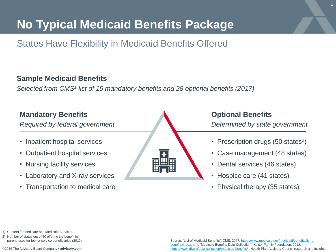# **No Typical Medicaid Benefits Package**

### States Have Flexibility in Medicaid Benefits Offered

#### **Sample Medicaid Benefits**

*Selected from CMS<sup>1</sup> list of 15 mandatory benefits and 28 optional benefits (2017)*

#### **Mandatory Benefits Constanting Constanting Constanting Constanting Constanting Constanting Constanting Constanting Constanting Constanting Constanting Constanting Constanting Constanting Constanting Constanting Constant**

*Required by federal government Determined by state government*

- Inpatient hospital services
- Outpatient hospital services
- Nursing facility services
- Laboratory and X-ray services
- Transportation to medical care



- Prescription drugs (50 states<sup>2</sup>)
- Case management (48 states)
- Dental services (46 states)
- Hospice care (41 states)
- Physical therapy (35 states)

2) Number of states out of 50 offering the benefit in parentheses for fee for service beneficiaries (2012).

<sup>1)</sup> Centers for Medicare and Medicaid Services.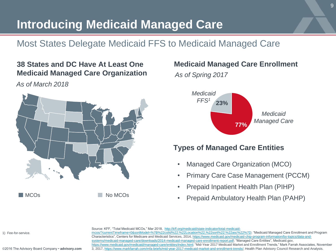# **Introducing Medicaid Managed Care**

### Most States Delegate Medicaid FFS to Medicaid Managed Care

#### **38 States and DC Have At Least One Medicaid Managed Care Organization**

#### *As of March 2018*



## **Medicaid Managed Care Enrollment**

*As of Spring 2017*



#### **Types of Managed Care Entities**

- Managed Care Organization (MCO)
- Primary Care Case Management (PCCM)
- Prepaid Inpatient Health Plan (PIHP)
- Prepaid Ambulatory Health Plan (PAHP)

1) Fee-for-service.

©2016 The Advisory Board Company • **advisory.com**

Source: KFF, "Total Medicaid MCOs," Mar 2018, http://kff.org/medicaid/state-indicator/total-medicaid[mcos/?currentTimeframe=0&sortModel=%7B%22colId%22:%22Location%22,%22sort%22:%22asc%22%7D;](http://kff.org/medicaid/state-indicator/total-medicaid-mcos/?currentTimeframe=0&sortModel={"colId":"Location","sort":"asc"}) "Medicaid Managed Care Enrollment and Program [Characteristics", Centers for Medicare and Medicaid Services, 2014, https://www.medicaid.gov/medicaid-chip-program-information/by-topics/data-and](https://www.medicaid.gov/medicaid-chip-program-information/by-topics/data-and-systems/medicaid-managed-care/downloads/2014-medicaid-managed-care-enrollment-report.pdf)systems/medicaid-managed-care/downloads/2014-medicaid-managed-care-enrollment-report.pdf; "Managed Care Entities", Medicaid.gov, [https://www.medicaid.gov/medicaid/managed-care/entities/index.html;](https://www.medicaid.gov/medicaid/managed-care/entities/index.html) "Mid-Year 2017 Medicaid Market and Enrollment Trends," Mark Farrah Associates, November 3, 2017, <https://www.markfarrah.com/mfa-briefs/mid-year-2017-medicaid-market-and-enrollment-trends/>; Health Plan Advisory Council Research and Analysis.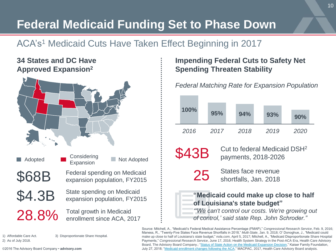# **Federal Medicaid Funding Set to Phase Down**

### ACA's<sup>1</sup> Medicaid Cuts Have Taken Effect Beginning in 2017

### **34 States and DC Have Approved Expansion<sup>2</sup>**



Considering Adopted **Expansion** Not Adopted

\$68B Federal spending on Medicaid expansion population, FY2015

 $$4.3B$  State spending on Medicaid expansion population, FY2015

28.8% Total growth in Medicaid enrollment since ACA, 2017

### **Impending Federal Cuts to Safety Net Spending Threaten Stability**

#### *Federal Matching Rate for Expansion Population*



 $$43B$  Cut to federal Medicaid DSH<sup>2</sup> payments, 2018-2026

25 States face revenue<br>
shortfalls, Jan. 2018

#### **"Medicaid could make up close to half of Louisiana's state budget"**

*"'We can't control our costs. We're growing out of control,' said state Rep. John Schroder."*

Source: Mitchell, A., "Medicaid's Federal Medical Assistance Percentage (FMAP)," *Congressional Research Service*, Feb. 9, 2016; Maness, R., "Twenty-Five States Face Revenue Shortfalls in 2018," *Multi-State*, Jan. 9, 2018; O' Donoghue, J., "Medicaid could make up close to half of Louisiana's state budget," *nola.com*, April 5, 2017; Mitchell, A., "Medicaid Disproportionate Share Hospital Payments," *Congressional Research Service*, June 17, 2016; Health System Strategy in the Post-ACA Era, Health Care Advisory Board, The Advisory Board Company.; "[Status of State Action on the Medicaid Expansion Decision](https://www.kff.org/health-reform/state-indicator/state-activity-around-expanding-medicaid-under-the-affordable-care-act/?currentTimeframe=0&sortModel={"colId":"Location","sort":"asc"})," Kaiser Family Foundation, July 27, 2018; "[Medicaid enrollment changes following the ACA,](https://www.macpac.gov/subtopic/medicaid-enrollment-changes-following-the-aca)" MACPAC, 2017, Health Care Advisory Board analysis.

1) Affordable Care Act.

3) Disproportionate Share Hospital.

2) As of July 2018.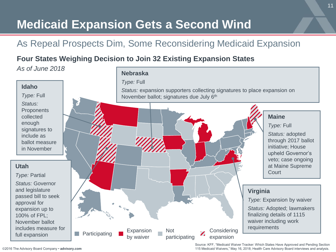# **Medicaid Expansion Gets a Second Wind**

### As Repeal Prospects Dim, Some Reconsidering Medicaid Expansion

### **Four States Weighing Decision to Join 32 Existing Expansion States**

*As of June 2018* 



<sup>©2016</sup> The Advisory Board Company • **advisory.com**

Source: KFF, "Medicaid Waiver Tracker: Which States Have Approved and Pending Section 115 Medicaid Waivers," May 16, 2018; Health Care Advisory Board interviews and analysis.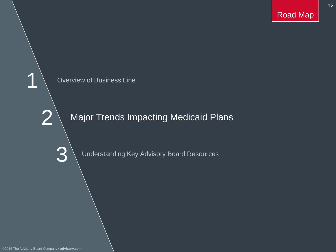12



### Major Trends Impacting Medicaid Plans

Understanding Key Advisory Board Resources

2

1

3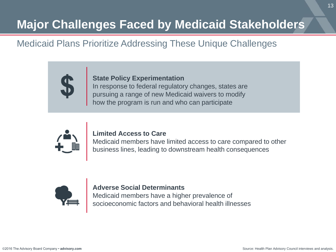# **Major Challenges Faced by Medicaid Stakeholders**

### Medicaid Plans Prioritize Addressing These Unique Challenges



**State Policy Experimentation** In response to federal regulatory changes, states are pursuing a range of new Medicaid waivers to modify

how the program is run and who can participate



#### **Limited Access to Care**

Medicaid members have limited access to care compared to other business lines, leading to downstream health consequences



#### **Adverse Social Determinants**

Medicaid members have a higher prevalence of socioeconomic factors and behavioral health illnesses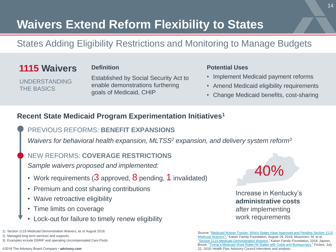# **Waivers Extend Reform Flexibility to States**

### States Adding Eligibility Restrictions and Monitoring to Manage Budgets

### **1115 Waivers Definition**

**UNDERSTANDING** THE BASICS

Established by Social Security Act to enable demonstrations furthering goals of Medicaid, CHIP

#### **Potential Uses**

- Implement Medicaid payment reforms
- Amend Medicaid eligibility requirements
- Change Medicaid benefits, cost-sharing

#### **Recent State Medicaid Program Experimentation Initiatives<sup>1</sup>**

#### PREVIOUS REFORMS: **BENEFIT EXPANSIONS**

*Waivers for behavioral health expansion, MLTSS<sup>2</sup> expansion, and delivery system reform<sup>3</sup>*

#### NEW REFORMS: **COVERAGE RESTRICTIONS**

*Sample waivers proposed and implemented:*

- Work requirements ( $3$  approved,  $8$  pending, 1 invalidated)
- Premium and cost sharing contributions
- Waive retroactive eligibility
- Time limits on coverage
- Lock-out for failure to timely renew eligibility

[Source: "Medicaid Waiver Tracker: Which States Have Approved and Pending Section 1115](https://www.kff.org/medicaid/issue-brief/which-states-have-approved-and-pending-section-1115-medicaid-waivers/) Medicaid Waivers?," Kaiser Family Foundation, August 29, 2018; Musumeci, M. et al, "[Section 1115 Medicaid Demonstration Waivers,](https://www.kff.org/medicaid/issue-brief/section-1115-medicaid-demonstration-waivers-the-current-landscape-of-approved-and-pending-waivers/;)" *Kaiser Family Foundation,* 2018; Japsen, Bruce, ["Trump's Medicaid Work Rules Hit States with Costs and Bureaucracy,](https://www.forbes.com/sites/brucejapsen/2018/07/22/trumps-medicaid-work-rules-hit-states-with-costs-and-bureaucracy/#6e7de60b66f5)" *Forbes,* July 22, 2018; Health Plan Advisory Council interviews and analysis.

40%

Increase in Kentucky's **administrative costs** after implementing work requirements

<sup>1)</sup> Section 1115 Medicaid Demonstration Waivers, as of August 2018.

<sup>2)</sup> Managed long term services and supports.

<sup>3)</sup> Examples include DSRIP and operating Uncompensated Care Pools.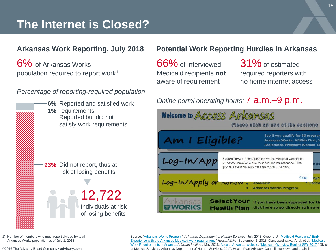# **The Internet is Closed?**

#### **Arkansas Work Reporting, July 2018**

6% of Arkansas Works population required to report work<sup>1</sup>

#### *Percentage of reporting-required population*



**6%** Reported and satisfied work 1% requirements Reported but did not satisfy work requirements

93% Did not report, thus at risk of losing benefits

> 12,722 Individuals at risk of losing benefits

#### **Potential Work Reporting Hurdles in Arkansas**

66% of interviewed Medicaid recipients **not** aware of requirement

31% of estimated required reporters with no home internet access

*Online portal operating hours:* 7 a.m.–9 p.m.



1) Number of members who must report divided by total Arkansas Works population as of July 1, 2018.

©2016 The Advisory Board Company • **advisory.com**

Source: "[Arkansas Works Program"](https://ccf.georgetown.edu/wp-content/uploads/2018/08/081418_AWReport_July.pdf), *Arkansas Department of Human Services,* July 2018; Greene, J, "Medicaid Recipients' Early [Experience with the Arkansas Medicaid work requirement,"](https://www.healthaffairs.org/do/10.1377/hblog20180904.979085/full/) *HealthAffairs,* September 5, 2018; Gangopadhyaya, Anuj, et al, "Medicaid Work Requirements in Arkansas", *Urban Institute,* [May 2018; Access Arkansas website; "Medicaid Overview Booklet SFY 2017," Divis](https://www.urban.org/sites/default/files/publication/98483/2001846_2018.05.23_arkansas_medicaid_finalized.pdf)ion of Medical Services, Arkansas Department of Human Services, 2017; Health Plan Advisory Council interviews and analysis.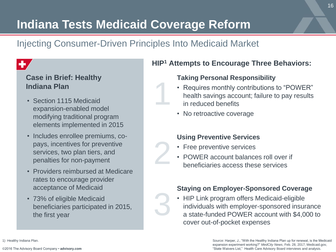# **Indiana Tests Medicaid Coverage Reform**

### Injecting Consumer-Driven Principles Into Medicaid Market

1

2

3

#### **Case in Brief: Healthy Indiana Plan**

- Section 1115 Medicaid expansion-enabled model modifying traditional program elements implemented in 2015
- Includes enrollee premiums, copays, incentives for preventive services, two plan tiers, and penalties for non-payment
- Providers reimbursed at Medicare rates to encourage provider acceptance of Medicaid
- 73% of eligible Medicaid beneficiaries participated in 2015, the first year

#### **HIP<sup>1</sup> Attempts to Encourage Three Behaviors:**

#### **Taking Personal Responsibility**

- Requires monthly contributions to "POWER" health savings account; failure to pay results in reduced benefits
- No retroactive coverage

#### **Using Preventive Services**

- Free preventive services
- POWER account balances roll over if beneficiaries access these services

#### **Staying on Employer-Sponsored Coverage**

• HIP Link program offers Medicaid-eligible individuals with employer-sponsored insurance a state-funded POWER account with \$4,000 to cover out-of-pocket expenses

> Source: Harper, J., "With the Healthy Indiana Plan up for renewal, is the Medicaid expansion experiment working?" *MedCity News*, Feb. 28, 2017; Medicaid.gov, "State Waivers List," Health Care Advisory Board interviews and analysis.

1) Healthy Indiana Plan.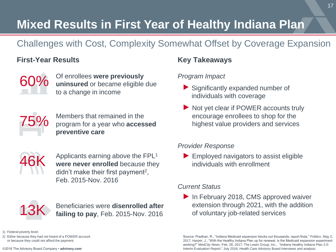# **Mixed Results in First Year of Healthy Indiana Plan**

## Challenges with Cost, Complexity Somewhat Offset by Coverage Expansion

### **First-Year Results Key Takeaways**



60% Of enrollees **were previously uninsured** or became eligible due



75% Members that remained in the program for a year who **accessed preventive care**



46K Applicants earning above the FPL<sup>1</sup> **were never enrolled** because they didn't make their first payment<sup>2</sup>, Feb. 2015-Nov. 2016



13K Beneficiaries were disenrolled after **failing to pay**, Feb. 2015-Nov. 2016

#### *Program Impact*

- dimistricantly expanded number of<br>to a change in income Significantly expanded number of individuals with coverage
	- Not yet clear if POWER accounts truly encourage enrollees to shop for the highest value providers and services

#### *Provider Response*

Employed navigators to assist eligible individuals with enrollment

#### *Current Status*

In February 2018, CMS approved waiver extension through 2021, with the addition of voluntary job-related services

Source: Pradhan, R., "Indiana Medicaid expansion blocks out thousands, report finds," *Politico*, May 2, 2017; Harper, J., "With the Healthy Indiana Plan up for renewal, is the Medicaid expansion experiment working?" *MedCity News*, Feb. 28, 2017; The Lewin Group, Inc., "Indiana Healthy Indiana Plan 2.0: Interim Evaluation Report." July 2016; Health Care Advisory Board interviews and analysis.

1) Federal poverty level.

2) Either because they had not heard of a POWER account or because they could not afford the payment.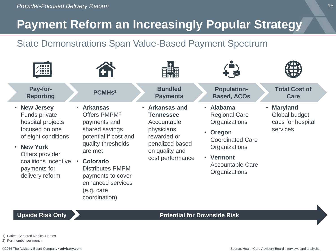# **Payment Reform an Increasingly Popular Strategy**

### State Demonstrations Span Value-Based Payment Spectrum



#### **Upside Risk Only Potential for Downside Risk**

1) Patient Centered Medical Homes.

2) Per-member per-month.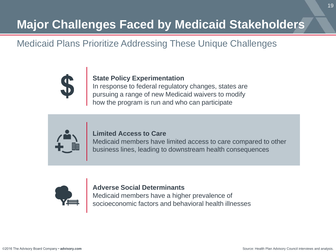# **Major Challenges Faced by Medicaid Stakeholders**

### Medicaid Plans Prioritize Addressing These Unique Challenges



#### **State Policy Experimentation**

In response to federal regulatory changes, states are pursuing a range of new Medicaid waivers to modify how the program is run and who can participate



#### **Limited Access to Care**

Medicaid members have limited access to care compared to other business lines, leading to downstream health consequences



#### **Adverse Social Determinants**

Medicaid members have a higher prevalence of socioeconomic factors and behavioral health illnesses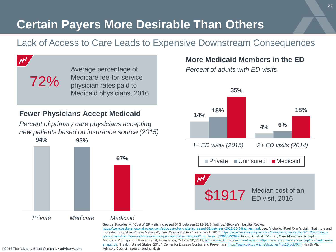# **Certain Payers More Desirable Than Others**

### Lack of Access to Care Leads to Expensive Downstream Consequences

72% Average percentage of Medicare fee-for-service physician rates paid to Medicaid physicians, 2016

#### **Fewer Physicians Accept Medicaid**

*Percent of primary care physicians accepting new patients based on insurance source (2015)*



**More Medicaid Members in the ED**

*Percent of adults with ED visits*



Source: Knowles M, "Cost of ER visits increased 31% between 2012-16: 5 findings," Becker's Hospital Review, [https://www.beckershospitalreview.com/eds/cost-of-er-visits-increased-31-between-2012-16-5-findings.html;](https://www.beckershospitalreview.com/eds/cost-of-er-visits-increased-31-between-2012-16-5-findings.html) Lee, Michelle, "Paul Ryan's claim that more and more doctors just won't take Medicaid", *The Washington Post,* February 1, 2017, https://www.washingtonpost.com/news/fact-checker/wp/2017/02/01/paul[ryans-claim-that-more-and-more-doctors-just-wont-take-medicaid/?utm\\_term=.c23600932687; Bocutti](https://www.washingtonpost.com/news/fact-checker/wp/2017/02/01/paul-ryans-claim-that-more-and-more-doctors-just-wont-take-medicaid/?utm_term=.c23600932687) C, et al., "Primary Care Physicians Accepting Medicare: A Snapshot", Kaiser Family Foundation, October 30, 2015, https://www.kff.org/medicare/issue-brief/primary-care-physicians-accepting-medicare-asnapshot/; "Health, United States, 2016", Center for Disease Control and Prevention, https://www.cdc.gov/nchs/data/hus/hus16.pdf#074; Health Plan Advisory Council research and analysis.

 $\boldsymbol{\mathcal{N}}$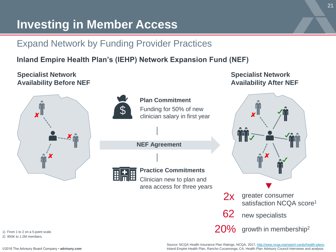# **Investing in Member Access**

## Expand Network by Funding Provider Practices

### **Inland Empire Health Plan's (IEHP) Network Expansion Fund (NEF)**

**Specialist Network Availability Before NEF**





#### Funding for 50% of new **Plan Commitment**

clinician salary in first year

**NEF Agreement**



#### Clinician new to plan and area access for three years **Practice Commitments**

#### **Specialist Network Availability After NEF**



2x greater consumer satisfaction NCQA score<sup>1</sup>

62 new specialists

 $20\%$  growth in membership<sup>2</sup>

1) From 1 to 2 on a 5-point scale.

2) 950K to 1.2M members.

©2016 The Advisory Board Company • **advisory.com**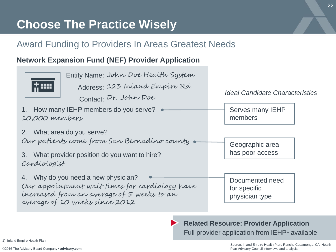# **Choose The Practice Wisely**

### Award Funding to Providers In Areas Greatest Needs

#### **Network Expansion Fund (NEF) Provider Application**



How many IEHP members do you serve? 2. What area do you serve? 3. What provider position do you want to hire? 4. Why do you need a new physician? Entity Name: John Doe Health System Address: 123 Inland Empire Rd. Contact: Dr. John Doe 10,000 members Our patients come from San Bernadino county. Cardiologist Our appointment wait times for cardiology have increased from an average of 5 weeks to an average of 10 weeks since 2012 Geographic area has poor access *Ideal Candidate Characteristics* Serves many IEHP members Documented need for specific physician type

> **Related Resource: Provider Application** Full provider application from IEHP<sup>1</sup> available

1) Inland Empire Health Plan.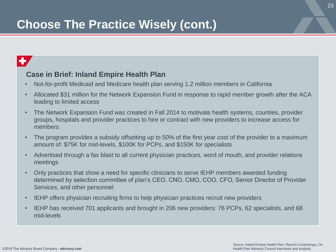# **Choose The Practice Wisely (cont.)**

## $\mathbf{+}$

#### **Case in Brief: Inland Empire Health Plan**

- Not-for-profit Medicaid and Medicare health plan serving 1.2 million members in California
- Allocated \$31 million for the Network Expansion Fund in response to rapid member growth after the ACA leading to limited access
- The Network Expansion Fund was created in Fall 2014 to motivate health systems, counties, provider groups, hospitals and provider practices to hire or contract with new providers to increase access for members
- The program provides a subsidy offsetting up to 50% of the first year cost of the provider to a maximum amount of: \$75K for mid-levels, \$100K for PCPs, and \$150K for specialists
- Advertised through a fax blast to all current physician practices, word of mouth, and provider relations meetings
- Only practices that show a need for specific clinicians to serve IEHP members awarded funding determined by selection committee of plan's CEO, CNO, CMO, COO, CFO, Senior Director of Provider Services, and other personnel
- IEHP offers physician recruiting firms to help physician practices recruit new providers
- IEHP has received 701 applicants and brought in 206 new providers: 76 PCPs, 62 specialists, and 68 mid-levels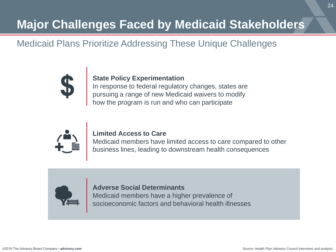# **Major Challenges Faced by Medicaid Stakeholders**

### Medicaid Plans Prioritize Addressing These Unique Challenges



#### **State Policy Experimentation**

In response to federal regulatory changes, states are pursuing a range of new Medicaid waivers to modify how the program is run and who can participate



#### **Limited Access to Care**

Medicaid members have limited access to care compared to other business lines, leading to downstream health consequences



**Adverse Social Determinants** Medicaid members have a higher prevalence of socioeconomic factors and behavioral health illnesses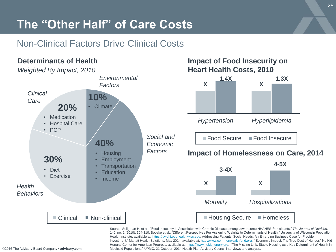# **The "Other Half" of Care Costs**

### Non-Clinical Factors Drive Clinical Costs



©2016 The Advisory Board Company • **advisory.com**

140, no. 2 (2010): 304-310; Booske et al., "Different Perspectives For Assigning Weights to Determinants of Health," University of Wisconsin Population Health Institute, available at: [https://uwphi.pophealth.wisc.edu](https://uwphi.pophealth.wisc.edu/); Addressing Patients' Social Needs: An Emerging Business Case for Provider Investment," Manatt Health Solutions, May 2014; available at: [http://www.commonwealthfund.org;](http://www.commonwealthfund.org/) "Economic Impact: The True Cost of Hunger," No Kid Hungry/ Center for American Progress, available at: [https://www.nokidhungry.org](https://www.nokidhungry.org/); "The Missing Link: Stable Housing as a Key Determinant of Health in Medicaid Populations," UPMC, 21 October, 2014 Health Plan Advisory Council interviews and analysis.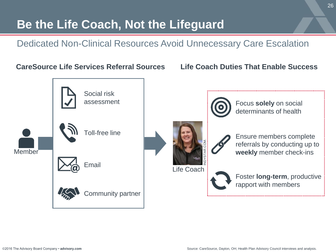# **Be the Life Coach, Not the Lifeguard**

### Dedicated Non-Clinical Resources Avoid Unnecessary Care Escalation

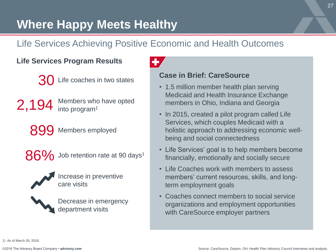# **Where Happy Meets Healthy**

### Life Services Achieving Positive Economic and Health Outcomes

### **Life Services Program Results**

- Life coaches in two states
- 2,194 Members who have opted into program<sup>1</sup>
	- 899 Members employed
	- $86\%$  Job retention rate at 90 days<sup>1</sup>



Increase in preventive care visits



Decrease in emergency department visits

### ÷

#### **Case in Brief: CareSource**

- 1.5 million member health plan serving Medicaid and Health Insurance Exchange members in Ohio, Indiana and Georgia
- In 2015, created a pilot program called Life Services, which couples Medicaid with a holistic approach to addressing economic wellbeing and social connectedness
- Life Services' goal is to help members become financially, emotionally and socially secure
- Life Coaches work with members to assess members' current resources, skills, and longterm employment goals
- Coaches connect members to social service organizations and employment opportunities with CareSource employer partners

27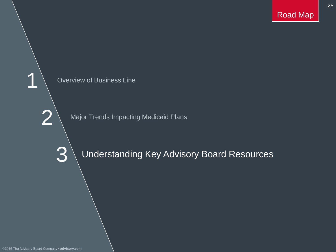28



1